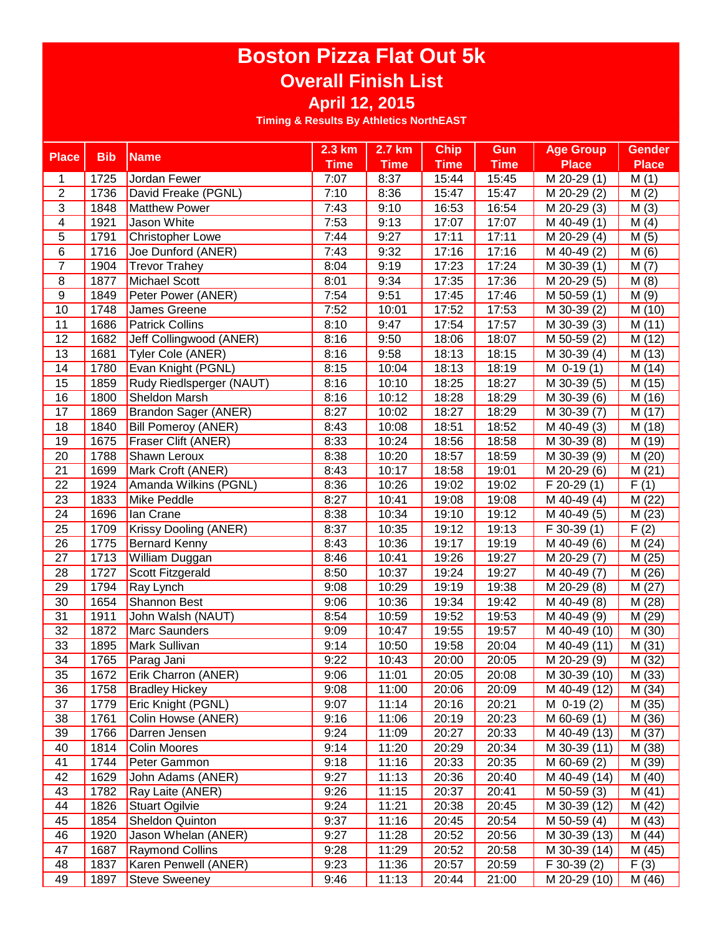|                 |            |                                | $2.3$ km          | 2.7 km      | <b>Chip</b> | Gun         | <b>Age Group</b>           | <b>Gender</b>     |
|-----------------|------------|--------------------------------|-------------------|-------------|-------------|-------------|----------------------------|-------------------|
| <b>Place</b>    | <b>Bib</b> | <b>Name</b>                    | <b>Time</b>       | <b>Time</b> | <b>Time</b> | <b>Time</b> | <b>Place</b>               | <b>Place</b>      |
| 1               | 1725       | Jordan Fewer                   | 7:07              | 8:37        | 15:44       | 15:45       | M 20-29 (1)                | M(1)              |
| $\overline{2}$  | 1736       | David Freake (PGNL)            | 7:10              | 8:36        | 15:47       | 15:47       | M 20-29 (2)                | M(2)              |
| $\overline{3}$  | 1848       | <b>Matthew Power</b>           | $\overline{7:}43$ | 9:10        | 16:53       | 16:54       | $\overline{M}$ 20-29 (3)   | M(3)              |
| $\overline{4}$  | 1921       | Jason White                    | 7:53              | 9:13        | 17:07       | 17:07       | M 40-49 (1)                | M(4)              |
| 5               | 1791       | <b>Christopher Lowe</b>        | 7:44              | 9:27        | 17:11       | 17:11       | M 20-29 (4)                | M(5)              |
| $\,6$           | 1716       | Joe Dunford (ANER)             | 7:43              | 9:32        | 17:16       | 17:16       | $\overline{M}$ 40-49 (2)   | M(6)              |
| $\overline{7}$  | 1904       | <b>Trevor Trahey</b>           | 8:04              | 9:19        | 17:23       | 17:24       | $\overline{M}$ 30-39 (1)   | M(7)              |
| $\bf 8$         | 1877       | Michael Scott                  | 8:01              | 9:34        | 17:35       | 17:36       | M 20-29 (5)                | M(8)              |
| $\overline{9}$  | 1849       | Peter Power (ANER)             | 7:54              | 9:51        | 17:45       | 17:46       | M 50-59 (1)                | M(9)              |
| 10              | 1748       | James Greene                   | 7:52              | 10:01       | 17:52       | 17:53       | $\overline{M}$ 30-39 $(2)$ | M(10)             |
| 11              | 1686       | <b>Patrick Collins</b>         | 8:10              | 9:47        | 17:54       | 17:57       | $\overline{M}$ 30-39 (3)   | M(11)             |
| $\overline{12}$ | 1682       | <b>Jeff Collingwood (ANER)</b> | 8:16              | 9:50        | 18:06       | 18:07       | M 50-59 (2)                | M(12)             |
| 13              | 1681       | Tyler Cole (ANER)              | 8:16              | 9:58        | 18:13       | 18:15       | $M$ 30-39 $(4)$            | M(13)             |
| $\overline{14}$ | 1780       | Evan Knight (PGNL)             | 8:15              | 10:04       | 18:13       | 18:19       | $M$ 0-19 $(1)$             | M(14)             |
| 15              | 1859       | Rudy Riedlsperger (NAUT)       | 8:16              | 10:10       | 18:25       | 18:27       | M 30-39 (5)                | M(15)             |
| 16              | 1800       | Sheldon Marsh                  | 8:16              | 10:12       | 18:28       | 18:29       | M 30-39 (6)                | M(16)             |
| 17              | 1869       | <b>Brandon Sager (ANER)</b>    | 8:27              | 10:02       | 18:27       | 18:29       | M 30-39 (7)                | M(17)             |
| 18              | 1840       | <b>Bill Pomeroy (ANER)</b>     | 8:43              | 10:08       | 18:51       | 18:52       | M 40-49 (3)                | M (18)            |
| 19              | 1675       | Fraser Clift (ANER)            | 8:33              | 10:24       | 18:56       | 18:58       | M 30-39 (8)                | M (19)            |
| 20              | 1788       | Shawn Leroux                   | 8:38              | 10:20       | 18:57       | 18:59       | M 30-39 (9)                | M(20)             |
| 21              | 1699       | Mark Croft (ANER)              | 8:43              | 10:17       | 18:58       | 19:01       | M 20-29 (6)                | M(21)             |
| 22              | 1924       | Amanda Wilkins (PGNL)          | 8:36              | 10:26       | 19:02       | 19:02       | F 20-29 (1)                | $\overline{F}(1)$ |
| 23              | 1833       | Mike Peddle                    | 8:27              | 10:41       | 19:08       | 19:08       | $\overline{M}$ 40-49 (4)   | M(22)             |
| 24              | 1696       | lan Crane                      | 8:38              | 10:34       | 19:10       | 19:12       | M 40-49 (5)                | M(23)             |
| 25              | 1709       | Krissy Dooling (ANER)          | 8:37              | 10:35       | 19:12       | 19:13       | $F$ 30-39 $(1)$            | $\overline{F(2)}$ |
| 26              | 1775       | <b>Bernard Kenny</b>           | 8:43              | 10:36       | 19:17       | 19:19       | $\overline{M}$ 40-49 (6)   | M(24)             |
| 27              | 1713       | William Duggan                 | 8:46              | 10:41       | 19:26       | 19:27       | M 20-29 (7)                | M (25)            |
| 28              | 1727       | Scott Fitzgerald               | 8:50              | 10:37       | 19:24       | 19:27       | M 40-49 (7)                | M (26)            |
| 29              | 1794       | Ray Lynch                      | 9:08              | 10:29       | 19:19       | 19:38       | M 20-29 (8)                | M(27)             |
| 30              | 1654       | Shannon Best                   | 9:06              | 10:36       | 19:34       | 19:42       | M 40-49 (8)                | M (28)            |
| 31              | 1911       | John Walsh (NAUT)              | 8:54              | 10:59       | 19:52       | 19:53       | M 40-49 (9)                | M (29)            |
| 32              | 1872       | Marc Saunders                  | 9:09              | 10:47       | 19:55       | 19:57       | M 40-49 (10)               | M (30)            |
| 33              | 1895       | Mark Sullivan                  | 9:14              | 10:50       | 19:58       | 20:04       | M 40-49 (11)               | M(31)             |
| $\overline{34}$ | 1765       | Parag Jani                     | 9:22              | 10:43       | 20:00       | 20:05       | M 20-29 (9)                | M (32)            |
| 35              | 1672       | Erik Charron (ANER)            | 9:06              | 11:01       | 20:05       | 20:08       | M 30-39 (10)               | M (33)            |
| 36              | 1758       | <b>Bradley Hickey</b>          | 9:08              | 11:00       | 20:06       | 20:09       | M 40-49 (12)               | M(34)             |
| 37              | 1779       | Eric Knight (PGNL)             | 9:07              | 11:14       | 20:16       | 20:21       | $M$ 0-19 $(2)$             | M (35)            |
| 38              | 1761       | Colin Howse (ANER)             | 9:16              | 11:06       | 20:19       | 20:23       | M 60-69 (1)                | M (36)            |
| 39              | 1766       | Darren Jensen                  | 9:24              | 11:09       | 20:27       | 20:33       | M 40-49 (13)               | M (37)            |
| 40              | 1814       | <b>Colin Moores</b>            | 9:14              | 11:20       | 20:29       | 20:34       | M 30-39 (11)               | M (38)            |
| 41              | 1744       | Peter Gammon                   | 9:18              | 11:16       | 20:33       | 20:35       | $M$ 60-69 $(2)$            | M(39)             |
| 42              | 1629       | John Adams (ANER)              | 9:27              | 11:13       | 20:36       | 20:40       | M 40-49 (14)               | M(40)             |
| 43              | 1782       | Ray Laite (ANER)               | 9:26              | 11:15       | 20:37       | 20:41       | M 50-59 (3)                | M(41)             |
| 44              | 1826       | <b>Stuart Ogilvie</b>          | 9:24              | 11:21       | 20:38       | 20:45       | M 30-39 (12)               | M (42)            |
| 45              | 1854       | <b>Sheldon Quinton</b>         | 9:37              | 11:16       | 20:45       | 20:54       | $\overline{M}$ 50-59 (4)   | M(43)             |
| 46              | 1920       | Jason Whelan (ANER)            | 9:27              | 11:28       | 20:52       | 20:56       | M 30-39 (13)               | M(44)             |
| 47              | 1687       | <b>Raymond Collins</b>         | 9:28              | 11:29       | 20:52       | 20:58       | M 30-39 (14)               | M (45)            |
| 48              | 1837       | Karen Penwell (ANER)           | 9:23              | 11:36       | 20:57       | 20:59       | F 30-39 (2)                | F(3)              |
| 49              | 1897       | <b>Steve Sweeney</b>           | 9:46              | 11:13       | 20:44       | 21:00       | M 20-29 (10)               | M (46)            |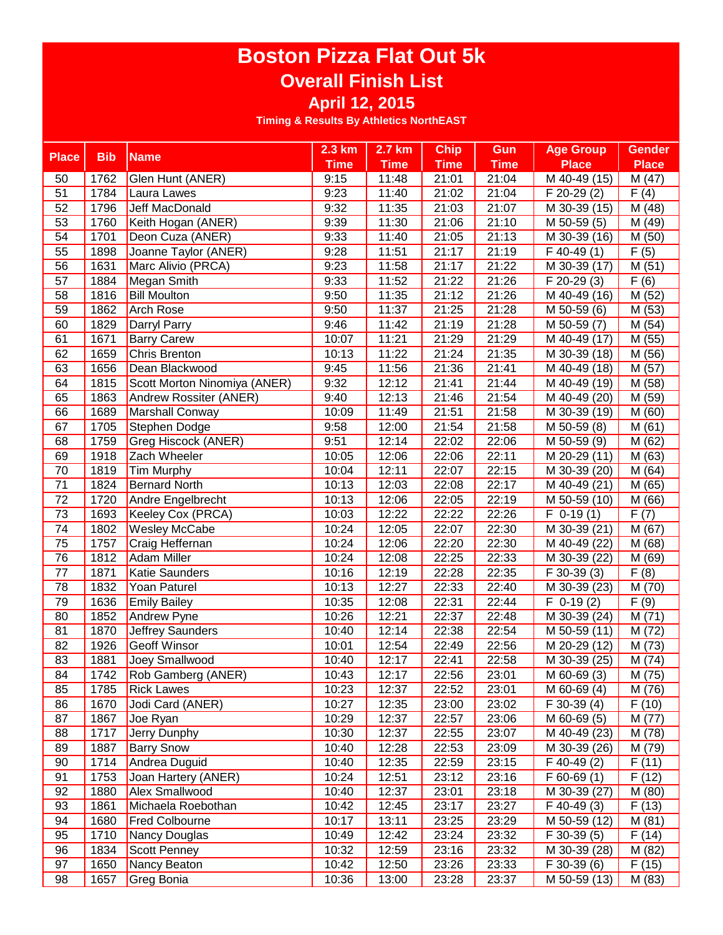|                 |            |                              | $2.3 \text{ km}$ | 2.7 km      | <b>Chip</b>        | Gun                | <b>Age Group</b>         | <b>Gender</b> |
|-----------------|------------|------------------------------|------------------|-------------|--------------------|--------------------|--------------------------|---------------|
| <b>Place</b>    | <b>Bib</b> | <b>Name</b>                  | <b>Time</b>      | <b>Time</b> | <b>Time</b>        | <b>Time</b>        | <b>Place</b>             | <b>Place</b>  |
| 50              | 1762       | Glen Hunt (ANER)             | 9:15             | 11:48       | 21:01              | 21:04              | M 40-49 (15)             | M(47)         |
| 51              | 1784       | Laura Lawes                  | 9:23             | 11:40       | 21:02              | 21:04              | $F$ 20-29 $(2)$          | F(4)          |
| 52              | 1796       | Jeff MacDonald               | 9:32             | 11:35       | 21:03              | 21:07              | M 30-39 (15)             | M (48)        |
| 53              | 1760       | Keith Hogan (ANER)           | 9:39             | 11:30       | 21:06              | 21:10              | M 50-59 (5)              | M (49)        |
| 54              | 1701       | Deon Cuza (ANER)             | 9:33             | 11:40       | 21:05              | 21:13              | M 30-39 (16)             | M (50)        |
| 55              | 1898       | Joanne Taylor (ANER)         | 9:28             | 11:51       | 21:17              | 21:19              | $F$ 40-49 $(1)$          | F(5)          |
| 56              | 1631       | Marc Alivio (PRCA)           | 9:23             | 11:58       | 21:17              | 21:22              | M 30-39 (17)             | M(51)         |
| 57              | 1884       | Megan Smith                  | 9:33             | 11:52       | 21:22              | 21:26              | F 20-29 (3)              | F(6)          |
| 58              | 1816       | <b>Bill Moulton</b>          | 9:50             | 11:35       | $\overline{2}1:12$ | $\overline{2}1:26$ | M 40-49 (16)             | M (52)        |
| 59              | 1862       | <b>Arch Rose</b>             | 9:50             | 11:37       | 21:25              | 21:28              | M 50-59 (6)              | M(53)         |
| 60              | 1829       | Darryl Parry                 | 9:46             | 11:42       | 21:19              | 21:28              | M 50-59 (7)              | M (54)        |
| 61              | 1671       | <b>Barry Carew</b>           | 10:07            | 11:21       | 21:29              | 21:29              | M 40-49 (17)             | M(55)         |
| 62              | 1659       | <b>Chris Brenton</b>         | 10:13            | 11:22       | 21:24              | 21:35              | M 30-39 (18)             | M(56)         |
| 63              | 1656       | Dean Blackwood               | 9:45             | 11:56       | 21:36              | 21:41              | M 40-49 (18)             | M(57)         |
| 64              | 1815       | Scott Morton Ninomiya (ANER) | 9:32             | 12:12       | 21:41              | 21:44              | M 40-49 (19)             | M(58)         |
| 65              | 1863       | Andrew Rossiter (ANER)       | 9:40             | 12:13       | 21:46              | 21:54              | M 40-49 (20)             | M(59)         |
| 66              | 1689       | Marshall Conway              | 10:09            | 11:49       | 21:51              | 21:58              | M 30-39 (19)             | M(60)         |
| 67              | 1705       | Stephen Dodge                | 9:58             | 12:00       | 21:54              | 21:58              | M 50-59 (8)              | M(61)         |
| 68              | 1759       | Greg Hiscock (ANER)          | 9:51             | 12:14       | 22:02              | 22:06              | M 50-59 (9)              | M (62)        |
| 69              | 1918       | Zach Wheeler                 | 10:05            | 12:06       | 22:06              | 22:11              | M 20-29 (11)             | M (63)        |
| 70              | 1819       | Tim Murphy                   | 10:04            | 12:11       | 22:07              | 22:15              | M 30-39 (20)             | M (64)        |
| 71              | 1824       | <b>Bernard North</b>         | 10:13            | 12:03       | 22:08              | 22:17              | M 40-49 (21)             | M (65)        |
| $\overline{72}$ | 1720       | Andre Engelbrecht            | 10:13            | 12:06       | 22:05              | 22:19              | M 50-59 (10)             | M (66)        |
| 73              | 1693       | Keeley Cox (PRCA)            | 10:03            | 12:22       | 22:22              | 22:26              | $\overline{F}$ 0-19 (1)  | F(7)          |
| 74              | 1802       | Wesley McCabe                | 10:24            | 12:05       | 22:07              | 22:30              | M 30-39 (21)             | M (67)        |
| 75              | 1757       | Craig Heffernan              | 10:24            | 12:06       | 22:20              | 22:30              | M 40-49 (22)             | M (68)        |
| $\overline{76}$ | $1812$     | <b>Adam Miller</b>           | 10:24            | 12:08       | 22:25              | 22:33              | M 30-39 (22)             | M (69)        |
| 77              | 1871       | Katie Saunders               | 10:16            | 12:19       | 22:28              | 22:35              | $\overline{F}$ 30-39 (3) | F(8)          |
| 78              | 1832       | Yoan Paturel                 | 10:13            | 12:27       | 22:33              | 22:40              | M 30-39 (23)             | M (70)        |
| 79              | 1636       | <b>Emily Bailey</b>          | 10:35            | 12:08       | 22:31              | 22:44              | $F$ 0-19 (2)             | F(9)          |
| 80              | 1852       | Andrew Pyne                  | 10:26            | 12:21       | 22:37              | 22:48              | M 30-39 (24)             | M(71)         |
| 81              | 1870       | Jeffrey Saunders             | 10:40            | 12:14       | 22:38              | 22:54              | M 50-59 (11)             | M (72)        |
| 82              | 1926       | <b>Geoff Winsor</b>          | 10:01            | 12:54       | 22:49              | 22:56              | M 20-29 (12)             | M (73)        |
| 83              | 1881       | Joey Smallwood               | 10:40            | 12:17       | 22:41              | 22:58              | M 30-39 (25)             | M (74)        |
| 84              | 1742       | Rob Gamberg (ANER)           | 10:43            | 12:17       | 22:56              | 23:01              | M 60-69 (3)              | M (75)        |
| 85              | 1785       | <b>Rick Lawes</b>            | 10:23            | 12:37       | 22:52              | 23:01              | M 60-69 (4)              | M (76)        |
| 86              | 1670       | Jodi Card (ANER)             | 10:27            | 12:35       | 23:00              | 23:02              | F 30-39 (4)              | F(10)         |
| 87              | 1867       | Joe Ryan                     | 10:29            | 12:37       | 22:57              | 23:06              | $\overline{M}$ 60-69 (5) | M (77)        |
| 88              | 1717       | Jerry Dunphy                 | 10:30            | 12:37       | 22:55              | 23:07              | M 40-49 (23)             | M (78)        |
| 89              | 1887       | <b>Barry Snow</b>            | 10:40            | 12:28       | 22:53              | 23:09              | M 30-39 (26)             | M (79)        |
| 90              | 1714       | Andrea Duguid                | 10:40            | 12:35       | 22:59              | 23:15              | $F$ 40-49 $(2)$          | F(11)         |
| 91              | 1753       | Joan Hartery (ANER)          | 10:24            | 12:51       | 23:12              | 23:16              | $F$ 60-69 $(1)$          | F(12)         |
| 92              | 1880       | Alex Smallwood               | 10:40            | 12:37       | 23:01              | 23:18              | M 30-39 (27)             | M(80)         |
| 93              | 1861       | Michaela Roebothan           | 10:42            | 12:45       | 23:17              | 23:27              | $F$ 40-49 $(3)$          | F(13)         |
| 94              | 1680       | Fred Colbourne               | 10:17            | 13:11       | 23:25              | 23:29              | M 50-59 (12)             | M(81)         |
| 95              | 1710       | Nancy Douglas                | 10:49            | 12:42       | 23:24              | 23:32              | F 30-39 (5)              | F(14)         |
| 96              | 1834       | <b>Scott Penney</b>          | 10:32            | 12:59       | 23:16              | 23:32              | M 30-39 (28)             | M (82)        |
| 97              | 1650       | Nancy Beaton                 | 10:42            | 12:50       | 23:26              | 23:33              | $F$ 30-39 $(6)$          | F(15)         |
| 98              | 1657       | Greg Bonia                   | 10:36            | 13:00       | 23:28              | 23:37              | M 50-59 (13)             | M (83)        |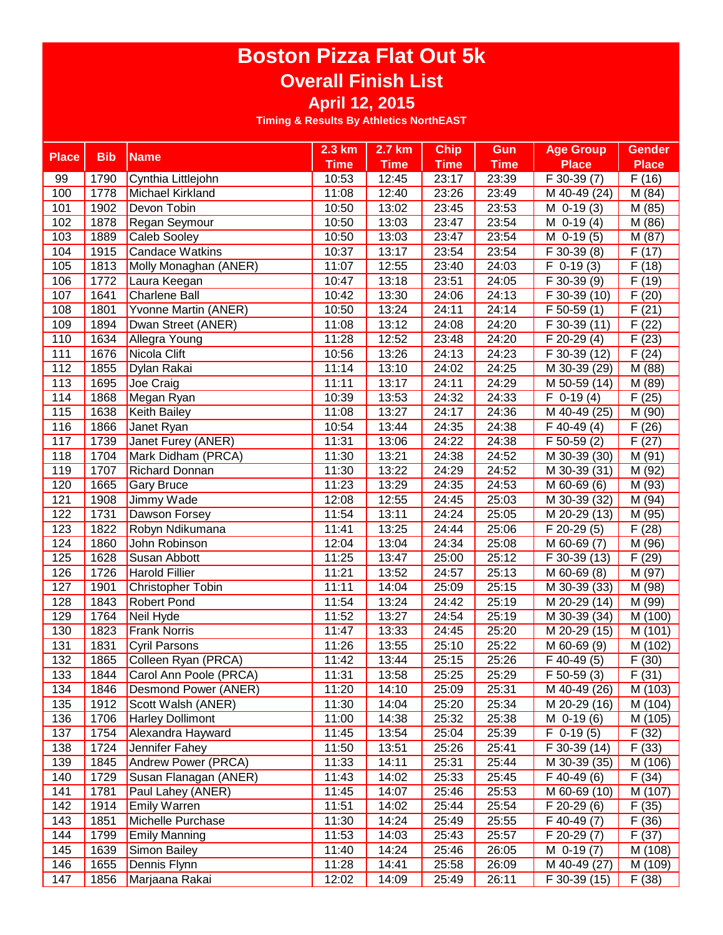|              |            |                            | 2.3 km      | 2.7 km      | <b>Chip</b> | Gun         | <b>Age Group</b>           | <b>Gender</b>        |
|--------------|------------|----------------------------|-------------|-------------|-------------|-------------|----------------------------|----------------------|
| <b>Place</b> | <b>Bib</b> | <b>Name</b>                | <b>Time</b> | <b>Time</b> | <b>Time</b> | <b>Time</b> | <b>Place</b>               | <b>Place</b>         |
| 99           | 1790       | Cynthia Littlejohn         | 10:53       | 12:45       | 23:17       | 23:39       | F 30-39 (7)                | F(16)                |
| 100          | 1778       | Michael Kirkland           | 11:08       | 12:40       | 23:26       | 23:49       | M 40-49 (24)               | M (84)               |
| 101          | 1902       | Devon Tobin                | 10:50       | 13:02       | 23:45       | 23:53       | $M$ 0-19 $(3)$             | M (85)               |
| 102          | 1878       | Regan Seymour              | 10:50       | 13:03       | 23:47       | 23:54       | $M$ 0-19 $(4)$             | M (86)               |
| 103          | 1889       | Caleb Sooley               | 10:50       | 13:03       | 23:47       | 23:54       | M 0-19 (5)                 | M (87)               |
| 104          | 1915       | Candace Watkins            | 10:37       | 13:17       | 23:54       | 23:54       | F 30-39 (8)                | F(17)                |
| 105          | 1813       | Molly Monaghan (ANER)      | 11:07       | 12:55       | 23:40       | 24:03       | $\overline{F}$ 0-19 (3)    | F(18)                |
| 106          | 1772       | Laura Keegan               | 10:47       | 13:18       | 23:51       | 24:05       | F 30-39 (9)                | F(19)                |
| 107          | 1641       | <b>Charlene Ball</b>       | 10:42       | 13:30       | 24:06       | 24:13       | F 30-39 (10)               | F(20)                |
| 108          | 1801       | Yvonne Martin (ANER)       | 10:50       | 13:24       | 24:11       | 24:14       | $F$ 50-59 $(1)$            | F(21)                |
| 109          | 1894       | Dwan Street (ANER)         | 11:08       | 13:12       | 24:08       | 24:20       | $\overline{F}$ 30-39 (11)  | $\overline{F(22)}$   |
| 110          | 1634       | Allegra Young              | 11:28       | 12:52       | 23:48       | 24:20       | $\overline{F}$ 20-29 (4)   | F(23)                |
| 111          | 1676       | Nicola Clift               | 10:56       | 13:26       | 24:13       | 24:23       | $\overline{F}$ 30-39 (12)  | F(24)                |
| 112          | 1855       | Dylan Rakai                | 11:14       | 13:10       | 24:02       | 24:25       | M 30-39 (29)               | M(88)                |
| 113          | 1695       | Joe Craig                  | 11:11       | 13:17       | 24:11       | 24:29       | $\overline{M}$ 50-59 (14)  | M(89)                |
| 114          | 1868       | Megan Ryan                 | 10:39       | 13:53       | 24:32       | 24:33       | $\overline{F}$ 0-19 (4)    | F(25)                |
| 115          | 1638       | <b>Keith Bailey</b>        | 11:08       | 13:27       | 24:17       | 24:36       | M 40-49 (25)               | M(90)                |
| 116          | 1866       | Janet Ryan                 | 10:54       | 13:44       | 24:35       | 24:38       | $F$ 40-49 (4)              | (26)<br>F            |
| 117          | 1739       | Janet Furey (ANER)         | 11:31       | 13:06       | 24:22       | 24:38       | $F$ 50-59 $(2)$            | (27)<br>F            |
| 118          | 1704       | Mark Didham (PRCA)         | 11:30       | 13:21       | 24:38       | 24:52       | M 30-39 (30)               | M (91)               |
| 119          | 1707       | <b>Richard Donnan</b>      | 11:30       | 13:22       | 24:29       | 24:52       | M 30-39 (31)               | M (92)               |
| 120          | 1665       | <b>Gary Bruce</b>          | 11:23       | 13:29       | 24:35       | 24:53       | M 60-69 (6)                | M (93)               |
| 121          | 1908       | Jimmy Wade                 | 12:08       | 12:55       | 24:45       | 25:03       | $\overline{M}$ 30-39 (32)  | M (94)               |
| 122          | 1731       | Dawson Forsey              | 11:54       | 13:11       | 24:24       | 25:05       | M 20-29 (13)               | M (95)               |
| 123          | 1822       | Robyn Ndikumana            | 11:41       | 13:25       | 24:44       | 25:06       | $\overline{F}$ 20-29 (5)   | F(28)                |
| 124          | 1860       | John Robinson              | 12:04       | 13:04       | 24:34       | 25:08       | M 60-69 (7)                | M (96)               |
| 125          | 1628       | Susan Abbott               | 11:25       | 13:47       | 25:00       | 25:12       | F 30-39 (13)               | F(29)                |
| 126          | 1726       | <b>Harold Fillier</b>      | 11:21       | 13:52       | 24:57       | 25:13       | M 60-69 (8)                | M (97)               |
| 127          | 1901       | <b>Christopher Tobin</b>   | 11:11       | 14:04       | 25:09       | 25:15       | M 30-39 (33)               | M (98)               |
| 128          | 1843       | <b>Robert Pond</b>         | 11:54       | 13:24       | 24:42       | 25:19       | M 20-29 (14)               | M (99)               |
| 129          | 1764       | Neil Hyde                  | 11:52       | 13:27       | 24:54       | 25:19       | M 30-39 (34)               | M (100)              |
| 130          | 1823       | <b>Frank Norris</b>        | 11:47       | 13:33       | 24:45       | 25:20       | M 20-29 (15)               | $\overline{M}$ (101) |
| 131          | 1831       | Cyril Parsons              | 11:26       | 13:55       | 25:10       | 25:22       | M 60-69 (9)                | M (102)              |
| 132          | 1865       | Colleen Ryan (PRCA)        | 11:42       | 13:44       | 25:15       | 25:26       | $F$ 40-49 $(5)$            | F(30)                |
| 133          | 1844       | Carol Ann Poole (PRCA)     | 11:31       | 13:58       | 25:25       | 25:29       | $F$ 50-59 (3)              | F(31)                |
| 134          | 1846       | Desmond Power (ANER)       | 11:20       | 14:10       | 25:09       | 25:31       | M 40-49 (26)               | M (103)              |
| 135          | 1912       | Scott Walsh (ANER)         | 11:30       | 14:04       | 25:20       | 25:34       | M 20-29 (16)               | M (104)              |
| 136          | 1706       | <b>Harley Dollimont</b>    | 11:00       | 14:38       | 25:32       | 25:38       | $M$ 0-19 $(6)$             | M (105)              |
| 137          | 1754       | Alexandra Hayward          | 11:45       | 13:54       | 25:04       | 25:39       | $F$ 0-19 $(5)$             | F(32)                |
| 138          | 1724       | Jennifer Fahey             | 11:50       | 13:51       | 25:26       | 25:41       | $\overline{F}$ 30-39 (14)  | F(33)                |
| 139          | 1845       | <b>Andrew Power (PRCA)</b> | 11:33       | 14:11       | 25:31       | 25:44       | M 30-39 (35)               | M (106)              |
| 140          | 1729       | Susan Flanagan (ANER)      | 11:43       | 14:02       | 25:33       | 25:45       | $F$ 40-49 $(6)$            | F(34)                |
| 141          | 1781       | Paul Lahey (ANER)          | 11:45       | 14:07       | 25:46       | 25:53       | $\overline{M}$ 60-69 (10)  | M (107)              |
| 142          | 1914       | <b>Emily Warren</b>        | 11:51       | 14:02       | 25:44       | 25:54       | F 20-29 (6)                | F(35)                |
| 143          | 1851       | Michelle Purchase          | 11:30       | 14:24       | 25:49       | 25:55       | $\overline{F}$ 40-49 $(7)$ | $\overline{F(36)}$   |
| 144          | 1799       | <b>Emily Manning</b>       | 11:53       | 14:03       | 25:43       | 25:57       | $\overline{F}$ 20-29 $(7)$ | F(37)                |
| 145          | 1639       | Simon Bailey               | 11:40       | 14:24       | 25:46       | 26:05       | $M$ 0-19 $(7)$             | M (108)              |
| 146          | 1655       | Dennis Flynn               | 11:28       | 14:41       | 25:58       | 26:09       | M 40-49 (27)               | M (109)              |
| 147          | 1856       | Marjaana Rakai             | 12:02       | 14:09       | 25:49       | 26:11       | F 30-39 (15)               | F(38)                |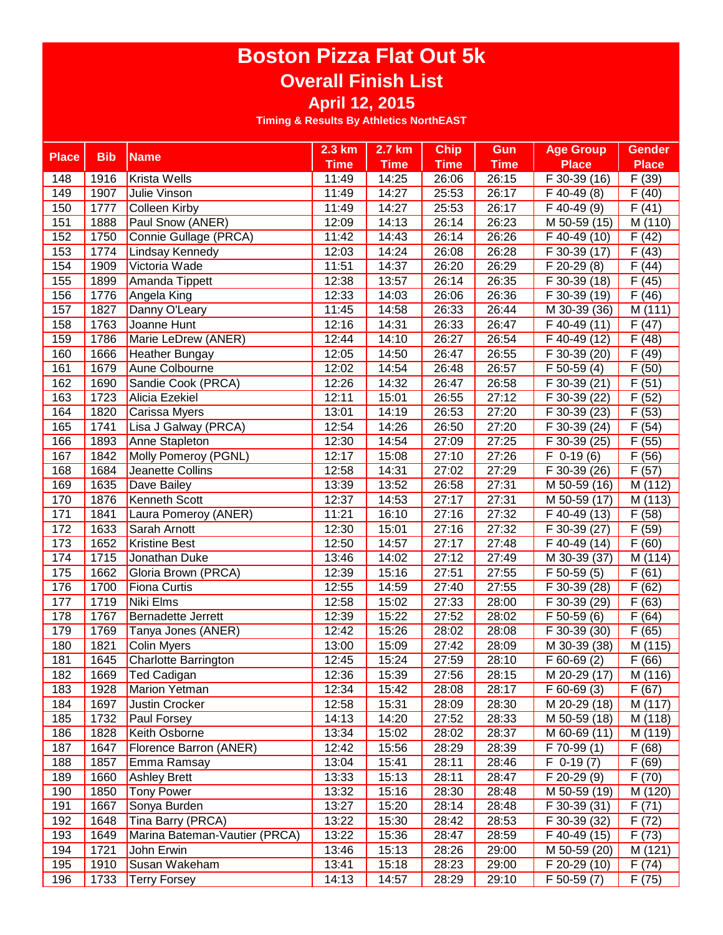|              |            |                               | $2.3 \text{ km}$    | 2.7 km      | <b>Chip</b>        | Gun         | <b>Age Group</b>          | <b>Gender</b>        |
|--------------|------------|-------------------------------|---------------------|-------------|--------------------|-------------|---------------------------|----------------------|
| <b>Place</b> | <b>Bib</b> | <b>Name</b>                   | <b>Time</b>         | <b>Time</b> | <b>Time</b>        | <b>Time</b> | <b>Place</b>              | <b>Place</b>         |
| 148          | 1916       | Krista Wells                  | 11:49               | 14:25       | 26:06              | 26:15       | F 30-39 (16)              | F(39)                |
| 149          | 1907       | Julie Vinson                  | 11:49               | 14:27       | 25:53              | 26:17       | $F$ 40-49 $(8)$           | F(40)                |
| 150          | 1777       | Colleen Kirby                 | 11:49               | 14:27       | 25:53              | 26:17       | F 40-49 (9)               | F(41)                |
| 151          | 1888       | Paul Snow (ANER)              | 12:09               | 14:13       | 26:14              | 26:23       | M 50-59 (15)              | M (110)              |
| 152          | 1750       | Connie Gullage (PRCA)         | 11:42               | 14:43       | 26:14              | 26:26       | F 40-49 (10)              | F(42)                |
| 153          | 1774       | Lindsay Kennedy               | 12:03               | 14:24       | 26:08              | 26:28       | F 30-39 (17)              | F(43)                |
| 154          | 1909       | Victoria Wade                 | $\overline{1}$ 1:51 | 14:37       | 26:20              | 26:29       | F 20-29 (8)               | F(44)                |
| 155          | 1899       | Amanda Tippett                | 12:38               | 13:57       | 26:14              | 26:35       | F 30-39 (18)              | F(45)                |
| 156          | 1776       | Angela King                   | 12:33               | 14:03       | 26:06              | 26:36       | F 30-39 (19)              | F(46)                |
| 157          | 1827       | Danny O'Leary                 | 11:45               | 14:58       | 26:33              | 26:44       | M 30-39 (36)              | M(111)               |
| 158          | 1763       | Joanne Hunt                   | 12:16               | 14:31       | 26:33              | 26:47       | F 40-49 (11)              | F(47)                |
| 159          | 1786       | Marie LeDrew (ANER)           | 12:44               | 14:10       | 26:27              | 26:54       | F 40-49 (12)              | F(48)                |
| 160          | 1666       | Heather Bungay                | 12:05               | 14:50       | 26:47              | 26:55       | F 30-39 (20)              | F(49)                |
| 161          | 1679       | Aune Colbourne                | 12:02               | 14:54       | 26:48              | 26:57       | $\overline{F}$ 50-59 (4)  | F(50)                |
| 162          | 1690       | Sandie Cook (PRCA)            | 12:26               | 14:32       | 26:47              | 26:58       | F 30-39 (21)              | F(51)                |
| 163          | 1723       | Alicia Ezekiel                | 12:11               | 15:01       | 26:55              | 27:12       | F 30-39 (22)              | F(52)                |
| 164          | 1820       | Carissa Myers                 | 13:01               | 14:19       | 26:53              | 27:20       | $\overline{F}$ 30-39 (23) | (53)<br>F            |
| 165          | 1741       | Lisa J Galway (PRCA)          | 12:54               | 14:26       | 26:50              | 27:20       | F 30-39 (24)              | (54)<br>F            |
| 166          | 1893       | Anne Stapleton                | 12:30               | 14:54       | 27:09              | 27:25       | F 30-39 (25)              | (55)<br>F            |
| 167          | 1842       | Molly Pomeroy (PGNL)          | 12:17               | 15:08       | 27:10              | 27:26       | $F$ 0-19 $(6)$            | F<br>(56)            |
| 168          | 1684       | Jeanette Collins              | 12:58               | 14:31       | $\overline{27:02}$ | 27:29       | F 30-39 (26)              | F(57)                |
| 169          | 1635       | Dave Bailey                   | 13:39               | 13:52       | 26:58              | 27:31       | M 50-59 (16)              | M (112)              |
| 170          | 1876       | Kenneth Scott                 | 12:37               | 14:53       | 27:17              | 27:31       | M 50-59 (17)              | M (113)              |
| 171          | 1841       | Laura Pomeroy (ANER)          | 11:21               | 16:10       | 27:16              | 27:32       | $\overline{F}$ 40-49 (13) | F(58)                |
| 172          | 1633       | Sarah Arnott                  | 12:30               | 15:01       | 27:16              | 27:32       | $\overline{F}$ 30-39 (27) | F(59)                |
| 173          | 1652       | <b>Kristine Best</b>          | 12:50               | 14:57       | 27:17              | 27:48       | F 40-49 (14)              | F(60)                |
| 174          | 1715       | Jonathan Duke                 | 13:46               | 14:02       | 27:12              | 27:49       | M 30-39 (37)              | M (114)              |
| 175          | 1662       | Gloria Brown (PRCA)           | 12:39               | 15:16       | 27:51              | 27:55       | $\overline{F}$ 50-59 (5)  | F(61)                |
| 176          | 1700       | <b>Fiona Curtis</b>           | 12:55               | 14:59       | 27:40              | 27:55       | F 30-39 (28)              | F(62)                |
| 177          | 1719       | Niki Elms                     | 12:58               | 15:02       | 27:33              | 28:00       | F 30-39 (29)              | F(63)                |
| 178          | 1767       | <b>Bernadette Jerrett</b>     | 12:39               | 15:22       | 27:52              | 28:02       | $\overline{F}$ 50-59 (6)  | F(64)                |
| 179          | 1769       | Tanya Jones (ANER)            | 12:42               | 15:26       | 28:02              | 28:08       | F 30-39 (30)              | F(65)                |
| 180          | 1821       | <b>Colin Myers</b>            | 13:00               | 15:09       | 27:42              | 28:09       | M 30-39 (38)              | $\overline{M}$ (115) |
| 181          | 1645       | Charlotte Barrington          | 12:45               | 15:24       | 27:59              | 28:10       | $F$ 60-69 $(2)$           | F(66)                |
| 182          | 1669       | Ted Cadigan                   | 12:36               | 15:39       | 27:56              | 28:15       | M 20-29 (17)              | M (116)              |
| 183          | 1928       | Marion Yetman                 | 12:34               | 15:42       | 28:08              | 28:17       | $F$ 60-69 $(3)$           | F(67)                |
| 184          | 1697       | Justin Crocker                | 12:58               | 15:31       | 28:09              | 28:30       | M 20-29 (18)              | M (117)              |
| 185          | 1732       | <b>Paul Forsey</b>            | 14:13               | 14:20       | 27:52              | 28:33       | M 50-59 (18)              | M (118)              |
| 186          | 1828       | Keith Osborne                 | 13:34               | 15:02       | 28:02              | 28:37       | M 60-69 (11)              | M (119)              |
| 187          | 1647       | Florence Barron (ANER)        | 12:42               | 15:56       | 28:29              | 28:39       | $\overline{F}$ 70-99 (1)  | F(68)                |
| 188          | 1857       | Emma Ramsay                   | 13:04               | 15:41       | 28:11              | 28:46       | $\overline{F}$ 0-19 $(7)$ | F(69)                |
| 189          | 1660       | <b>Ashley Brett</b>           | 13:33               | 15:13       | 28:11              | 28:47       | F 20-29 (9)               | F(70)                |
| 190          | 1850       | Tony Power                    | 13:32               | 15:16       | 28:30              | 28:48       | M 50-59 (19)              | M (120)              |
| 191          | 1667       | Sonya Burden                  | 13:27               | 15:20       | 28:14              | 28:48       | F 30-39 (31)              | F(71)                |
| 192          | 1648       | Tina Barry (PRCA)             | 13:22               | 15:30       | 28:42              | 28:53       | $F$ 30-39 (32)            | F(72)                |
| 193          | 1649       | Marina Bateman-Vautier (PRCA) | 13:22               | 15:36       | 28:47              | 28:59       | F 40-49 (15)              | F(73)                |
| 194          | 1721       | John Erwin                    | 13:46               | 15:13       | 28:26              | 29:00       | M 50-59 (20)              | M (121)              |
| 195          | 1910       | Susan Wakeham                 | 13:41               | 15:18       | 28:23              | 29:00       | F 20-29 (10)              | F(74)                |
| 196          | 1733       | <b>Terry Forsey</b>           | 14:13               | 14:57       | 28:29              | 29:10       | F 50-59 (7)               | F(75)                |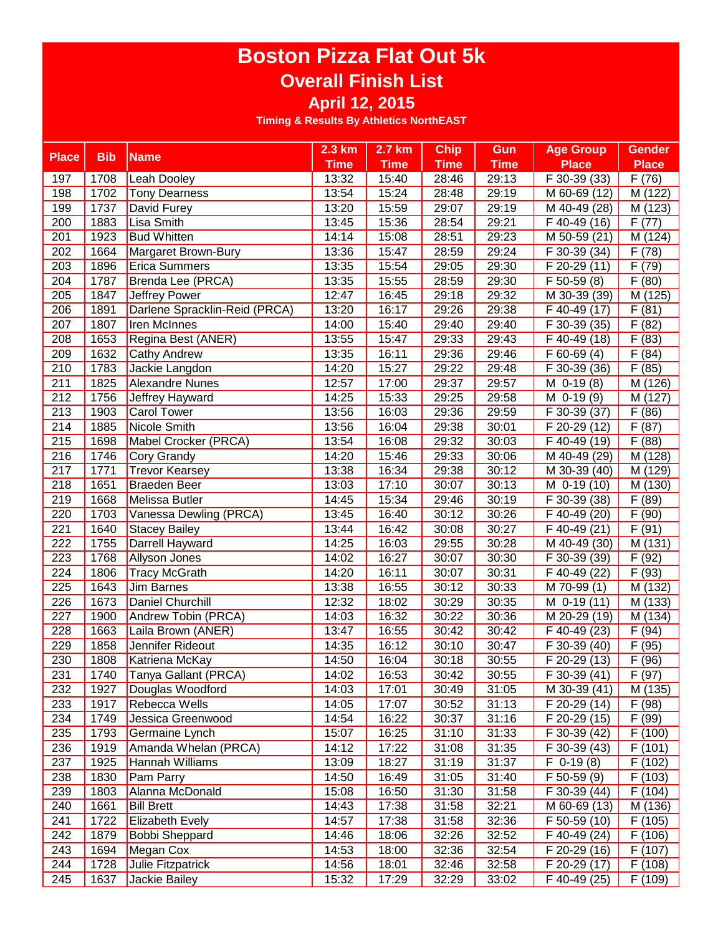|                  |            |                               | $2.3 \text{ km}$ | 2.7 km      | <b>Chip</b> | Gun         | <b>Age Group</b>          | <b>Gender</b>        |
|------------------|------------|-------------------------------|------------------|-------------|-------------|-------------|---------------------------|----------------------|
| <b>Place</b>     | <b>Bib</b> | <b>Name</b>                   | <b>Time</b>      | <b>Time</b> | <b>Time</b> | <b>Time</b> | Place                     | <b>Place</b>         |
| 197              | 1708       | Leah Dooley                   | 13:32            | 15:40       | 28:46       | 29:13       | F 30-39 (33)              | F(76)                |
| 198              | 1702       | <b>Tony Dearness</b>          | 13:54            | 15:24       | 28:48       | 29:19       | M 60-69 (12)              | M (122)              |
| 199              | 1737       | David Furey                   | 13:20            | 15:59       | 29:07       | 29:19       | M 40-49 (28)              | M (123)              |
| 200              | 1883       | Lisa Smith                    | 13:45            | 15:36       | 28:54       | 29:21       | F 40-49 (16)              | F(77)                |
| 201              | 1923       | <b>Bud Whitten</b>            | 14:14            | 15:08       | 28:51       | 29:23       | M 50-59 (21)              | M (124)              |
| 202              | 1664       | Margaret Brown-Bury           | 13:36            | 15:47       | 28:59       | 29:24       | F 30-39 (34)              | F(78)                |
| 203              | 1896       | <b>Erica Summers</b>          | 13:35            | 15:54       | 29:05       | 29:30       | F 20-29 (11)              | F(79)                |
| 204              | 1787       | Brenda Lee (PRCA)             | 13:35            | 15:55       | 28:59       | 29:30       | F 50-59 (8)               | F(80)                |
| 205              | 1847       | Jeffrey Power                 | 12:47            | 16:45       | 29:18       | 29:32       | M 30-39 (39)              | $\overline{M(125)}$  |
| $\overline{206}$ | 1891       | Darlene Spracklin-Reid (PRCA) | 13:20            | 16:17       | 29:26       | 29:38       | $\overline{F}$ 40-49 (17) | $\overline{F(81)}$   |
| 207              | 1807       | <b>Iren McInnes</b>           | 14:00            | 15:40       | 29:40       | 29:40       | F 30-39 (35)              | $\overline{F(82)}$   |
| 208              | 1653       | Regina Best (ANER)            | 13:55            | 15:47       | 29:33       | 29:43       | $\overline{F}$ 40-49 (18) | F(83)                |
| 209              | 1632       | <b>Cathy Andrew</b>           | 13:35            | 16:11       | 29:36       | 29:46       | $\overline{F}$ 60-69 (4)  | F(84)                |
| 210              | 1783       | Jackie Langdon                | 14:20            | 15:27       | 29:22       | 29:48       | F 30-39 (36)              | F(85)                |
| 211              | 1825       | <b>Alexandre Nunes</b>        | 12:57            | 17:00       | 29:37       | 29:57       | M $0-19(8)$               | M(126)               |
| 212              | 1756       | Jeffrey Hayward               | 14:25            | 15:33       | 29:25       | 29:58       | $M$ 0-19 $(9)$            | M (127)              |
| $\sqrt{213}$     | 1903       | <b>Carol Tower</b>            | 13:56            | 16:03       | 29:36       | 29:59       | F 30-39 (37)              | (86)<br>F            |
| 214              | 1885       | Nicole Smith                  | 13:56            | 16:04       | 29:38       | 30:01       | F 20-29 (12)              | (87)<br>F            |
| 215              | 1698       | Mabel Crocker (PRCA)          | 13:54            | 16:08       | 29:32       | 30:03       | F 40-49 (19)              | (88)<br>F            |
| 216              | 1746       | <b>Cory Grandy</b>            | 14:20            | 15:46       | 29:33       | 30:06       | M 40-49 (29)              | M (128)              |
| 217              | 1771       | <b>Trevor Kearsey</b>         | 13:38            | 16:34       | 29:38       | 30:12       | M 30-39 (40)              | M (129)              |
| 218              | 1651       | <b>Braeden Beer</b>           | 13:03            | 17:10       | 30:07       | 30:13       | M 0-19 (10)               | M (130)              |
| 219              | 1668       | Melissa Butler                | 14:45            | 15:34       | 29:46       | 30:19       | F 30-39 (38)              | F(89)                |
| 220              | 1703       | Vanessa Dewling (PRCA)        | 13:45            | 16:40       | 30:12       | 30:26       | F 40-49 (20)              | F(90)                |
| 221              | 1640       | <b>Stacey Bailey</b>          | 13:44            | 16:42       | 30:08       | 30:27       | F 40-49 (21)              | F(91)                |
| 222              | 1755       | Darrell Hayward               | 14:25            | 16:03       | 29:55       | 30:28       | M 40-49 (30)              | $\overline{M}$ (131) |
| 223              | 1768       | Allyson Jones                 | 14:02            | 16:27       | 30:07       | 30:30       | F 30-39 (39)              | F (92)               |
| 224              | 1806       | <b>Tracy McGrath</b>          | 14:20            | 16:11       | 30:07       | 30:31       | F 40-49 (22)              | F(93)                |
| 225              | 1643       | Jim Barnes                    | 13:38            | 16:55       | 30:12       | 30:33       | M 70-99 (1)               | M (132)              |
| 226              | 1673       | <b>Daniel Churchill</b>       | 12:32            | 18:02       | 30:29       | 30:35       |                           |                      |
|                  |            |                               |                  |             | 30:22       |             | M 0-19 (11)               | M (133)<br>M (134)   |
| 227              | 1900       | Andrew Tobin (PRCA)           | 14:03            | 16:32       |             | 30:36       | M 20-29 (19)              |                      |
| 228              | 1663       | Laila Brown (ANER)            | 13:47            | 16:55       | 30:42       | 30:42       | F 40-49 (23)              | F(94)                |
| 229              | 1858       | Jennifer Rideout              | 14:35            | 16:12       | 30:10       | 30:47       | F 30-39 (40)              | (95)<br>F            |
| 230              | 1808       | Katriena McKay                | 14:50            | 16:04       | 30:18       | 30:55       | F 20-29 (13)              | F(96)                |
| 231              | 1740       | Tanya Gallant (PRCA)          | 14:02            | 16:53       | 30:42       | 30:55       | F 30-39 (41)              | F(97)                |
| 232              | 1927       | Douglas Woodford              | 14:03            | 17:01       | 30:49       | 31:05       | M 30-39 (41)              | M (135)              |
| 233              | 1917       | Rebecca Wells                 | 14:05            | 17:07       | 30:52       | 31:13       | F 20-29 (14)              | F(98)                |
| 234              | 1749       | Jessica Greenwood             | 14:54            | 16:22       | 30:37       | 31:16       | F 20-29 (15)              | F (99)               |
| 235              | 1793       | Germaine Lynch                | 15:07            | 16:25       | 31:10       | 31:33       | F 30-39 (42)              | F(100)               |
| 236              | 1919       | Amanda Whelan (PRCA)          | 14:12            | 17:22       | 31:08       | 31:35       | $\overline{F}$ 30-39 (43) | F(101)               |
| 237              | 1925       | Hannah Williams               | 13:09            | 18:27       | 31:19       | 31:37       | $F$ 0-19 $(8)$            | $\overline{F}$ (102) |
| 238              | 1830       | Pam Parry                     | 14:50            | 16:49       | 31:05       | 31:40       | F 50-59 (9)               | $\overline{F}$ (103) |
| 239              | 1803       | Alanna McDonald               | 15:08            | 16:50       | 31:30       | 31:58       | F 30-39 (44)              | F(104)               |
| 240              | 1661       | <b>Bill Brett</b>             | 14:43            | 17:38       | 31:58       | 32:21       | M 60-69 (13)              | $\overline{M}$ (136) |
| 241              | 1722       | <b>Elizabeth Evely</b>        | 14:57            | 17:38       | 31:58       | 32:36       | $F$ 50-59 (10)            | $\overline{F(105)}$  |
| 242              | 1879       | <b>Bobbi Sheppard</b>         | 14:46            | 18:06       | 32:26       | 32:52       | $F$ 40-49 (24)            | F(106)               |
| 243              | 1694       | Megan Cox                     | 14:53            | 18:00       | 32:36       | 32:54       | F 20-29 (16)              | F(107)               |
| 244              | 1728       | Julie Fitzpatrick             | 14:56            | 18:01       | 32:46       | 32:58       | F 20-29 (17)              | F(108)               |
| 245              | 1637       | Jackie Bailey                 | 15:32            | 17:29       | 32:29       | 33:02       | F 40-49 (25)              | F (109)              |